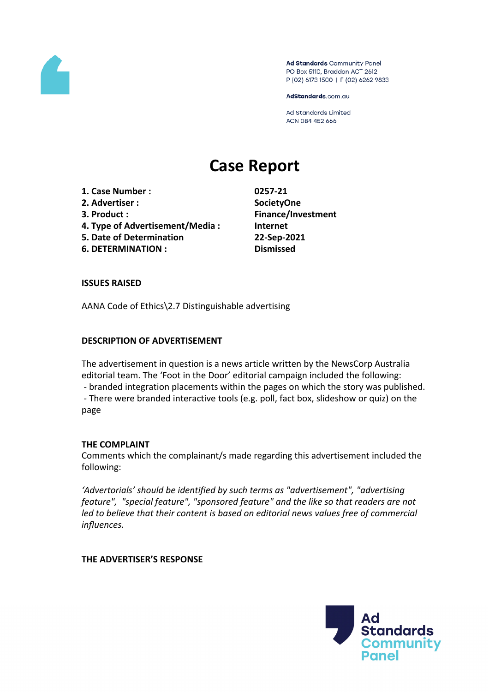

Ad Standards Community Panel PO Box 5110, Braddon ACT 2612 P (02) 6173 1500 | F (02) 6262 9833

AdStandards.com.au

Ad Standards Limited ACN 084 452 666

# **Case Report**

- **1. Case Number : 0257-21**
- **2. Advertiser : SocietyOne**
- 
- **4. Type of Advertisement/Media : Internet**
- **5. Date of Determination 22-Sep-2021**
- **6. DETERMINATION : Dismissed**

**3. Product : Finance/Investment**

### **ISSUES RAISED**

AANA Code of Ethics\2.7 Distinguishable advertising

## **DESCRIPTION OF ADVERTISEMENT**

The advertisement in question is a news article written by the NewsCorp Australia editorial team. The 'Foot in the Door' editorial campaign included the following: - branded integration placements within the pages on which the story was published. - There were branded interactive tools (e.g. poll, fact box, slideshow or quiz) on the page

#### **THE COMPLAINT**

Comments which the complainant/s made regarding this advertisement included the following:

*'Advertorials' should be identified by such terms as "advertisement", "advertising feature", "special feature", "sponsored feature" and the like so that readers are not led to believe that their content is based on editorial news values free of commercial influences.*

## **THE ADVERTISER'S RESPONSE**

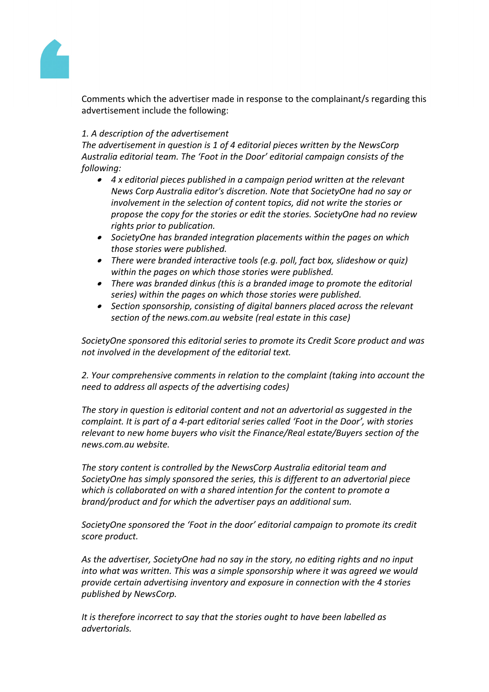

Comments which the advertiser made in response to the complainant/s regarding this advertisement include the following:

## *1. A description of the advertisement*

*The advertisement in question is 1 of 4 editorial pieces written by the NewsCorp Australia editorial team. The 'Foot in the Door' editorial campaign consists of the following:*

- *4 x editorial pieces published in a campaign period written at the relevant News Corp Australia editor's discretion. Note that SocietyOne had no say or involvement in the selection of content topics, did not write the stories or propose the copy for the stories or edit the stories. SocietyOne had no review rights prior to publication.*
- *SocietyOne has branded integration placements within the pages on which those stories were published.*
- *There were branded interactive tools (e.g. poll, fact box, slideshow or quiz) within the pages on which those stories were published.*
- *There was branded dinkus (this is a branded image to promote the editorial series) within the pages on which those stories were published.*
- *Section sponsorship, consisting of digital banners placed across the relevant section of the news.com.au website (real estate in this case)*

*SocietyOne sponsored this editorial series to promote its Credit Score product and was not involved in the development of the editorial text.*

*2. Your comprehensive comments in relation to the complaint (taking into account the need to address all aspects of the advertising codes)*

*The story in question is editorial content and not an advertorial as suggested in the complaint. It is part of a 4-part editorial series called 'Foot in the Door', with stories relevant to new home buyers who visit the Finance/Real estate/Buyers section of the news.com.au website.*

*The story content is controlled by the NewsCorp Australia editorial team and SocietyOne has simply sponsored the series, this is different to an advertorial piece which is collaborated on with a shared intention for the content to promote a brand/product and for which the advertiser pays an additional sum.*

*SocietyOne sponsored the 'Foot in the door' editorial campaign to promote its credit score product.*

*As the advertiser, SocietyOne had no say in the story, no editing rights and no input into what was written. This was a simple sponsorship where it was agreed we would provide certain advertising inventory and exposure in connection with the 4 stories published by NewsCorp.*

*It is therefore incorrect to say that the stories ought to have been labelled as advertorials.*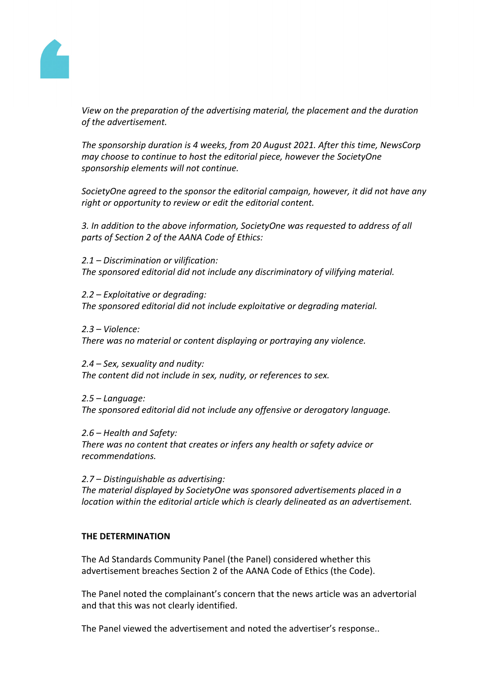

*View on the preparation of the advertising material, the placement and the duration of the advertisement.*

*The sponsorship duration is 4 weeks, from 20 August 2021. After this time, NewsCorp may choose to continue to host the editorial piece, however the SocietyOne sponsorship elements will not continue.*

*SocietyOne agreed to the sponsor the editorial campaign, however, it did not have any right or opportunity to review or edit the editorial content.*

*3. In addition to the above information, SocietyOne was requested to address of all parts of Section 2 of the AANA Code of Ethics:*

*2.1 – Discrimination or vilification: The sponsored editorial did not include any discriminatory of vilifying material.*

*2.2 – Exploitative or degrading: The sponsored editorial did not include exploitative or degrading material.*

*2.3 – Violence:*

*There was no material or content displaying or portraying any violence.*

*2.4 – Sex, sexuality and nudity: The content did not include in sex, nudity, or references to sex.*

*2.5 – Language: The sponsored editorial did not include any offensive or derogatory language.*

*2.6 – Health and Safety: There was no content that creates or infers any health or safety advice or recommendations.*

*2.7 – Distinguishable as advertising: The material displayed by SocietyOne was sponsored advertisements placed in a location within the editorial article which is clearly delineated as an advertisement.* 

#### **THE DETERMINATION**

The Ad Standards Community Panel (the Panel) considered whether this advertisement breaches Section 2 of the AANA Code of Ethics (the Code).

The Panel noted the complainant's concern that the news article was an advertorial and that this was not clearly identified.

The Panel viewed the advertisement and noted the advertiser's response..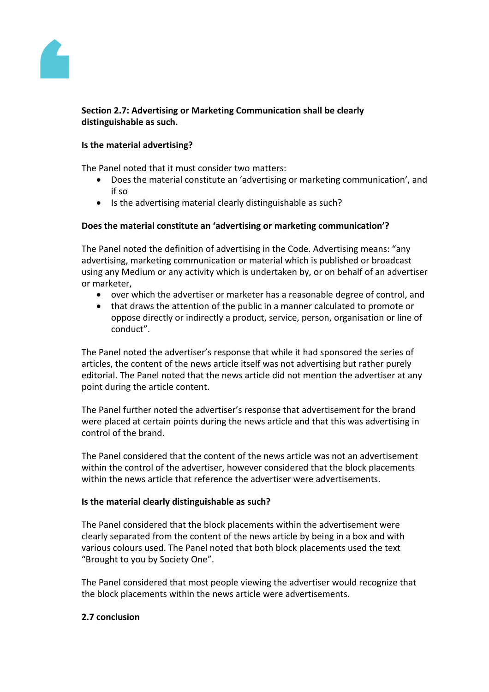

## **Section 2.7: Advertising or Marketing Communication shall be clearly distinguishable as such.**

### **Is the material advertising?**

The Panel noted that it must consider two matters:

- Does the material constitute an 'advertising or marketing communication', and if so
- Is the advertising material clearly distinguishable as such?

## **Does the material constitute an 'advertising or marketing communication'?**

The Panel noted the definition of advertising in the Code. Advertising means: "any advertising, marketing communication or material which is published or broadcast using any Medium or any activity which is undertaken by, or on behalf of an advertiser or marketer,

- over which the advertiser or marketer has a reasonable degree of control, and
- that draws the attention of the public in a manner calculated to promote or oppose directly or indirectly a product, service, person, organisation or line of conduct".

The Panel noted the advertiser's response that while it had sponsored the series of articles, the content of the news article itself was not advertising but rather purely editorial. The Panel noted that the news article did not mention the advertiser at any point during the article content.

The Panel further noted the advertiser's response that advertisement for the brand were placed at certain points during the news article and that this was advertising in control of the brand.

The Panel considered that the content of the news article was not an advertisement within the control of the advertiser, however considered that the block placements within the news article that reference the advertiser were advertisements.

#### **Is the material clearly distinguishable as such?**

The Panel considered that the block placements within the advertisement were clearly separated from the content of the news article by being in a box and with various colours used. The Panel noted that both block placements used the text "Brought to you by Society One".

The Panel considered that most people viewing the advertiser would recognize that the block placements within the news article were advertisements.

#### **2.7 conclusion**